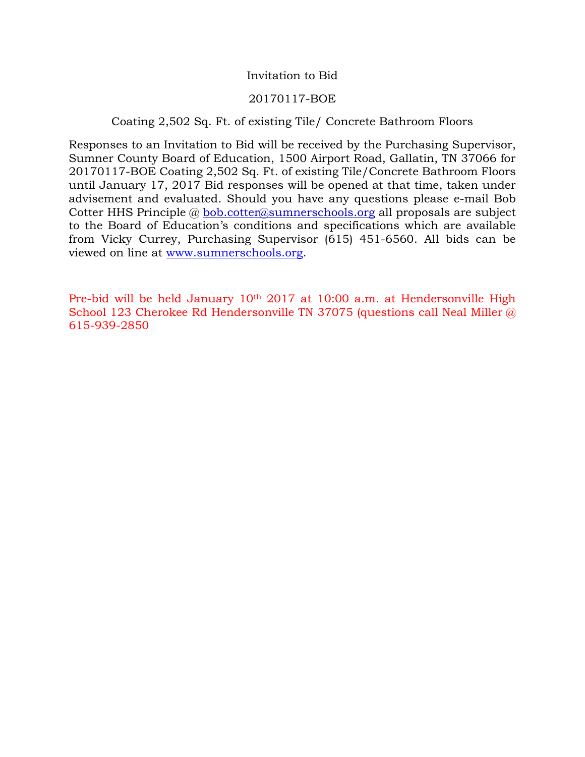# Invitation to Bid

#### 20170117-BOE

# Coating 2,502 Sq. Ft. of existing Tile/ Concrete Bathroom Floors

Responses to an Invitation to Bid will be received by the Purchasing Supervisor, Sumner County Board of Education, 1500 Airport Road, Gallatin, TN 37066 for 20170117-BOE Coating 2,502 Sq. Ft. of existing Tile/Concrete Bathroom Floors until January 17, 2017 Bid responses will be opened at that time, taken under advisement and evaluated. Should you have any questions please e-mail Bob Cotter HHS Principle @ [bob.cotter@sumnerschools.org](mailto:bob.cotter@sumnerschools.org) all proposals are subject to the Board of Education's conditions and specifications which are available from Vicky Currey, Purchasing Supervisor (615) 451-6560. All bids can be viewed on line at [www.sumnerschools.org.](http://www.sumnerschools.org/)

Pre-bid will be held January 10th 2017 at 10:00 a.m. at Hendersonville High School 123 Cherokee Rd Hendersonville TN 37075 (questions call Neal Miller @ 615-939-2850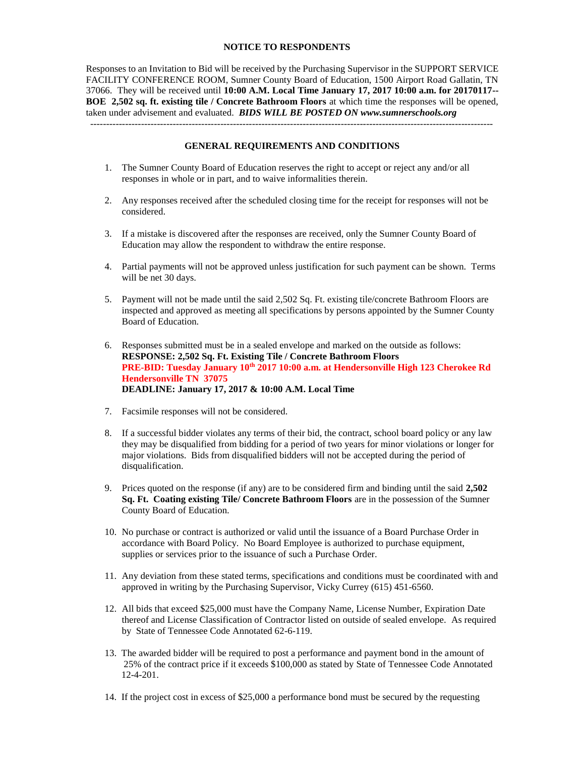#### **NOTICE TO RESPONDENTS**

Responses to an Invitation to Bid will be received by the Purchasing Supervisor in the SUPPORT SERVICE FACILITY CONFERENCE ROOM, Sumner County Board of Education, 1500 Airport Road Gallatin, TN 37066. They will be received until **10:00 A.M. Local Time January 17, 2017 10:00 a.m. for 20170117-- BOE 2,502 sq. ft. existing tile / Concrete Bathroom Floors** at which time the responses will be opened, taken under advisement and evaluated. *BIDS WILL BE POSTED ON www.sumnerschools.org* -------------------------------------------------------------------------------------------------------------------------------

**GENERAL REQUIREMENTS AND CONDITIONS**

- 1. The Sumner County Board of Education reserves the right to accept or reject any and/or all responses in whole or in part, and to waive informalities therein.
- 2. Any responses received after the scheduled closing time for the receipt for responses will not be considered.
- 3. If a mistake is discovered after the responses are received, only the Sumner County Board of Education may allow the respondent to withdraw the entire response.
- 4. Partial payments will not be approved unless justification for such payment can be shown. Terms will be net 30 days.
- 5. Payment will not be made until the said 2,502 Sq. Ft. existing tile/concrete Bathroom Floors are inspected and approved as meeting all specifications by persons appointed by the Sumner County Board of Education.
- 6. Responses submitted must be in a sealed envelope and marked on the outside as follows: **RESPONSE: 2,502 Sq. Ft. Existing Tile / Concrete Bathroom Floors PRE-BID: Tuesday January 10th 2017 10:00 a.m. at Hendersonville High 123 Cherokee Rd Hendersonville TN 37075 DEADLINE: January 17, 2017 & 10:00 A.M. Local Time**
- 7. Facsimile responses will not be considered.
- 8. If a successful bidder violates any terms of their bid, the contract, school board policy or any law they may be disqualified from bidding for a period of two years for minor violations or longer for major violations. Bids from disqualified bidders will not be accepted during the period of disqualification.
- 9. Prices quoted on the response (if any) are to be considered firm and binding until the said **2,502 Sq. Ft. Coating existing Tile/ Concrete Bathroom Floors** are in the possession of the Sumner County Board of Education.
- 10. No purchase or contract is authorized or valid until the issuance of a Board Purchase Order in accordance with Board Policy. No Board Employee is authorized to purchase equipment, supplies or services prior to the issuance of such a Purchase Order.
- 11. Any deviation from these stated terms, specifications and conditions must be coordinated with and approved in writing by the Purchasing Supervisor, Vicky Currey (615) 451-6560.
- 12. All bids that exceed \$25,000 must have the Company Name, License Number, Expiration Date thereof and License Classification of Contractor listed on outside of sealed envelope. As required by State of Tennessee Code Annotated 62-6-119.
- 13. The awarded bidder will be required to post a performance and payment bond in the amount of 25% of the contract price if it exceeds \$100,000 as stated by State of Tennessee Code Annotated 12-4-201.
- 14. If the project cost in excess of \$25,000 a performance bond must be secured by the requesting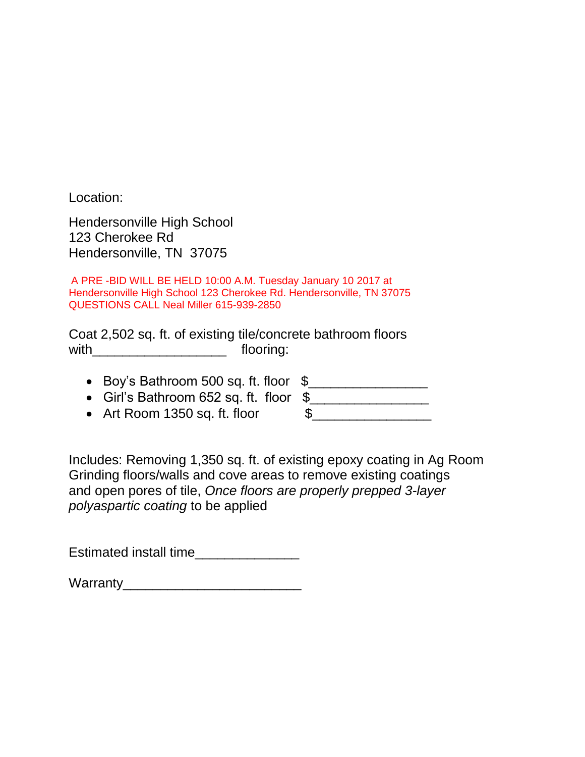Location:

Hendersonville High School 123 Cherokee Rd Hendersonville, TN 37075

A PRE -BID WILL BE HELD 10:00 A.M. Tuesday January 10 2017 at Hendersonville High School 123 Cherokee Rd. Hendersonville, TN 37075 QUESTIONS CALL Neal Miller 615-939-2850

Coat 2,502 sq. ft. of existing tile/concrete bathroom floors with\_\_\_\_\_\_\_\_\_\_\_\_\_\_\_\_\_\_ flooring:

- $\bullet$  Boy's Bathroom 500 sq. ft. floor  $\frac{1}{2}$
- Girl's Bathroom 652 sq. ft. floor \$\_\_\_\_\_\_\_\_\_\_\_\_\_\_\_\_
- Art Room 1350 sq. ft. floor  $\qquad \qquad$  \$

Includes: Removing 1,350 sq. ft. of existing epoxy coating in Ag Room Grinding floors/walls and cove areas to remove existing coatings and open pores of tile, *Once floors are properly prepped 3-layer polyaspartic coating* to be applied

Estimated install time\_\_\_\_\_\_\_\_\_\_\_\_\_\_\_\_

Warranty\_\_\_\_\_\_\_\_\_\_\_\_\_\_\_\_\_\_\_\_\_\_\_\_